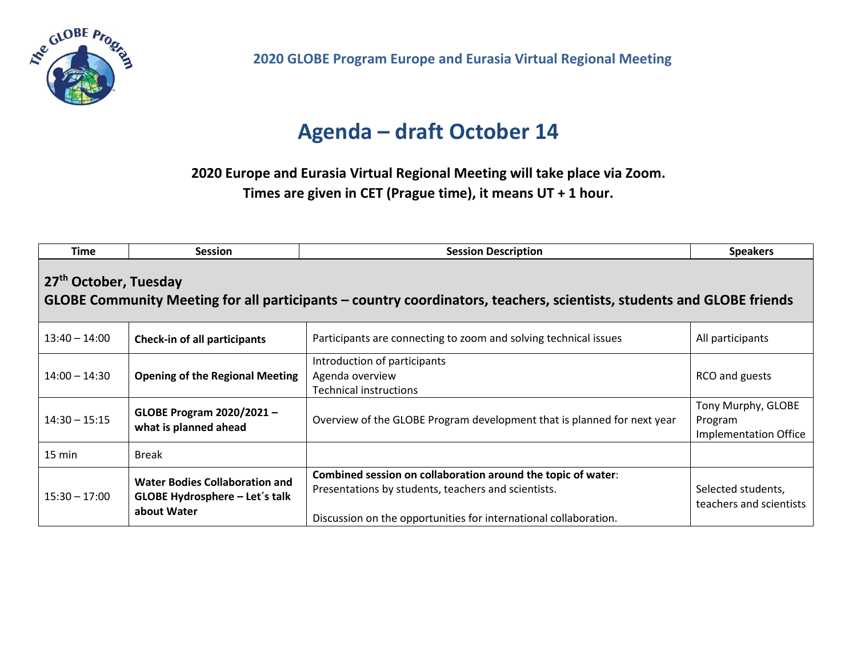

**2020 GLOBE Program Europe and Eurasia Virtual Regional Meeting** 

## **Agenda – draft October 14**

**2020 Europe and Eurasia Virtual Regional Meeting will take place via Zoom.**

**Times are given in CET (Prague time), it means UT + 1 hour.**

| <b>Time</b>                                                                                                                                                | <b>Session</b>                                                                         | <b>Session Description</b>                                                                                                                                                              | <b>Speakers</b>                                               |  |  |  |
|------------------------------------------------------------------------------------------------------------------------------------------------------------|----------------------------------------------------------------------------------------|-----------------------------------------------------------------------------------------------------------------------------------------------------------------------------------------|---------------------------------------------------------------|--|--|--|
| 27 <sup>th</sup> October, Tuesday<br>GLOBE Community Meeting for all participants – country coordinators, teachers, scientists, students and GLOBE friends |                                                                                        |                                                                                                                                                                                         |                                                               |  |  |  |
| $13:40 - 14:00$                                                                                                                                            | <b>Check-in of all participants</b>                                                    | Participants are connecting to zoom and solving technical issues                                                                                                                        | All participants                                              |  |  |  |
| $14:00 - 14:30$                                                                                                                                            | <b>Opening of the Regional Meeting</b>                                                 | Introduction of participants<br>Agenda overview<br><b>Technical instructions</b>                                                                                                        | RCO and guests                                                |  |  |  |
| $14:30 - 15:15$                                                                                                                                            | GLOBE Program 2020/2021-<br>what is planned ahead                                      | Overview of the GLOBE Program development that is planned for next year                                                                                                                 | Tony Murphy, GLOBE<br>Program<br><b>Implementation Office</b> |  |  |  |
| 15 min                                                                                                                                                     | <b>Break</b>                                                                           |                                                                                                                                                                                         |                                                               |  |  |  |
| $15:30 - 17:00$                                                                                                                                            | <b>Water Bodies Collaboration and</b><br>GLOBE Hydrosphere - Let's talk<br>about Water | Combined session on collaboration around the topic of water:<br>Presentations by students, teachers and scientists.<br>Discussion on the opportunities for international collaboration. | Selected students,<br>teachers and scientists                 |  |  |  |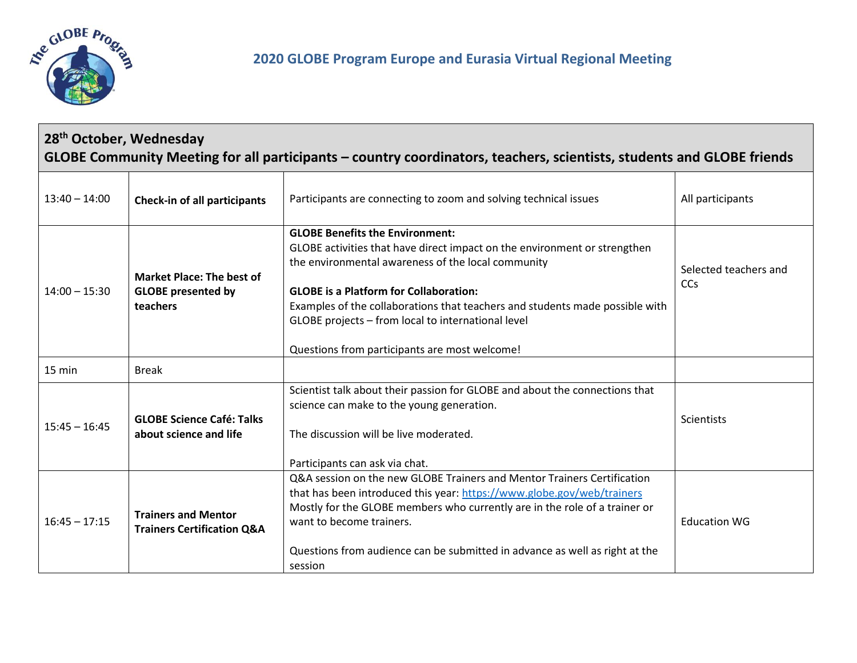

## **28th October, Wednesday GLOBE Community Meeting for all participants – country coordinators, teachers, scientists, students and GLOBE friends**

| $13:40 - 14:00$ | <b>Check-in of all participants</b>                                       | Participants are connecting to zoom and solving technical issues                                                                                                                                                                                                                                                                                                                                                  | All participants             |
|-----------------|---------------------------------------------------------------------------|-------------------------------------------------------------------------------------------------------------------------------------------------------------------------------------------------------------------------------------------------------------------------------------------------------------------------------------------------------------------------------------------------------------------|------------------------------|
| $14:00 - 15:30$ | <b>Market Place: The best of</b><br><b>GLOBE</b> presented by<br>teachers | <b>GLOBE Benefits the Environment:</b><br>GLOBE activities that have direct impact on the environment or strengthen<br>the environmental awareness of the local community<br><b>GLOBE</b> is a Platform for Collaboration:<br>Examples of the collaborations that teachers and students made possible with<br>GLOBE projects - from local to international level<br>Questions from participants are most welcome! | Selected teachers and<br>CCs |
| 15 min          | <b>Break</b>                                                              |                                                                                                                                                                                                                                                                                                                                                                                                                   |                              |
| $15:45 - 16:45$ | <b>GLOBE Science Café: Talks</b><br>about science and life                | Scientist talk about their passion for GLOBE and about the connections that<br>science can make to the young generation.<br>The discussion will be live moderated.<br>Participants can ask via chat.                                                                                                                                                                                                              | Scientists                   |
| $16:45 - 17:15$ | <b>Trainers and Mentor</b><br><b>Trainers Certification Q&amp;A</b>       | Q&A session on the new GLOBE Trainers and Mentor Trainers Certification<br>that has been introduced this year: https://www.globe.gov/web/trainers<br>Mostly for the GLOBE members who currently are in the role of a trainer or<br>want to become trainers.<br>Questions from audience can be submitted in advance as well as right at the<br>session                                                             | <b>Education WG</b>          |